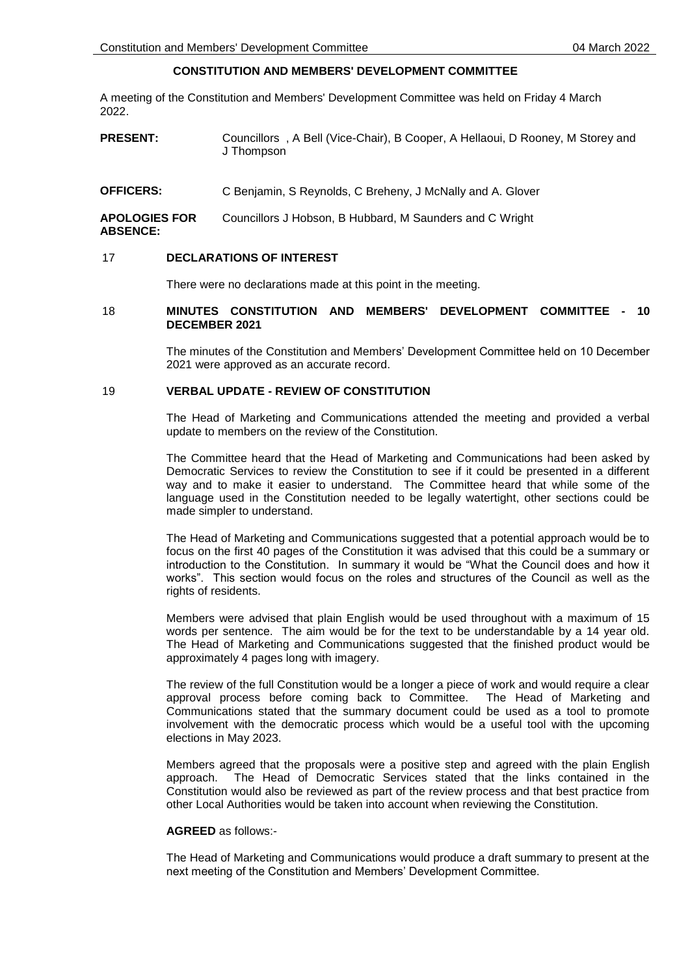# **CONSTITUTION AND MEMBERS' DEVELOPMENT COMMITTEE**

A meeting of the Constitution and Members' Development Committee was held on Friday 4 March 2022.

- **PRESENT:** Councillors , A Bell (Vice-Chair), B Cooper, A Hellaoui, D Rooney, M Storey and J Thompson
- **OFFICERS:** C Benjamin, S Reynolds, C Breheny, J McNally and A. Glover

**APOLOGIES FOR ABSENCE:** Councillors J Hobson, B Hubbard, M Saunders and C Wright

#### 17 **DECLARATIONS OF INTEREST**

There were no declarations made at this point in the meeting.

## 18 **MINUTES CONSTITUTION AND MEMBERS' DEVELOPMENT COMMITTEE - 10 DECEMBER 2021**

The minutes of the Constitution and Members' Development Committee held on 10 December 2021 were approved as an accurate record.

## 19 **VERBAL UPDATE - REVIEW OF CONSTITUTION**

The Head of Marketing and Communications attended the meeting and provided a verbal update to members on the review of the Constitution.

The Committee heard that the Head of Marketing and Communications had been asked by Democratic Services to review the Constitution to see if it could be presented in a different way and to make it easier to understand. The Committee heard that while some of the language used in the Constitution needed to be legally watertight, other sections could be made simpler to understand.

The Head of Marketing and Communications suggested that a potential approach would be to focus on the first 40 pages of the Constitution it was advised that this could be a summary or introduction to the Constitution. In summary it would be "What the Council does and how it works". This section would focus on the roles and structures of the Council as well as the rights of residents.

Members were advised that plain English would be used throughout with a maximum of 15 words per sentence. The aim would be for the text to be understandable by a 14 year old. The Head of Marketing and Communications suggested that the finished product would be approximately 4 pages long with imagery.

The review of the full Constitution would be a longer a piece of work and would require a clear approval process before coming back to Committee. The Head of Marketing and Communications stated that the summary document could be used as a tool to promote involvement with the democratic process which would be a useful tool with the upcoming elections in May 2023.

Members agreed that the proposals were a positive step and agreed with the plain English approach. The Head of Democratic Services stated that the links contained in the Constitution would also be reviewed as part of the review process and that best practice from other Local Authorities would be taken into account when reviewing the Constitution.

## **AGREED** as follows:-

The Head of Marketing and Communications would produce a draft summary to present at the next meeting of the Constitution and Members' Development Committee.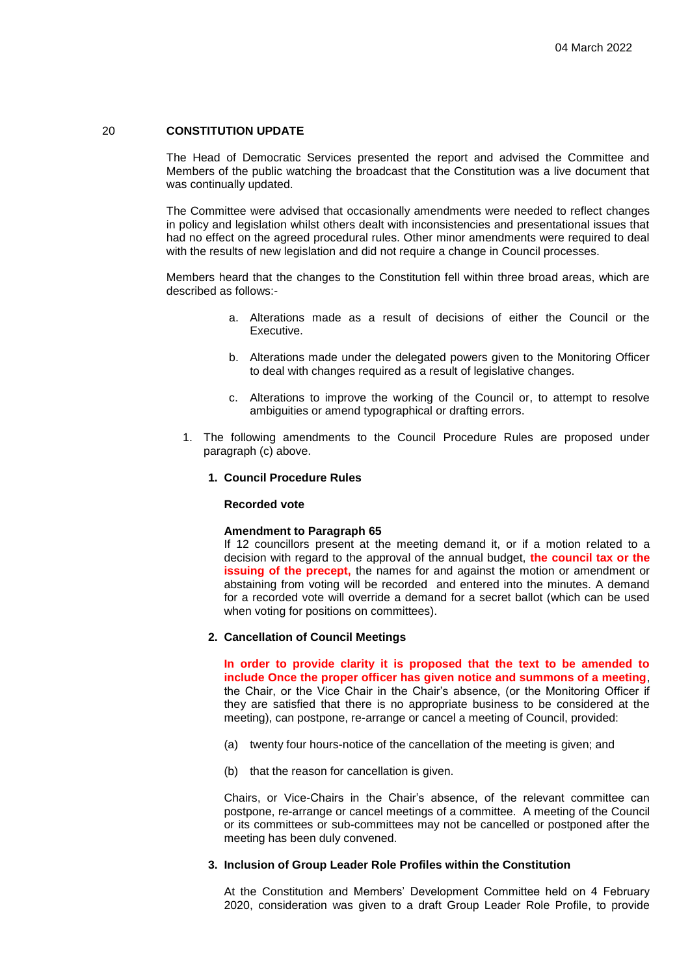### 20 **CONSTITUTION UPDATE**

The Head of Democratic Services presented the report and advised the Committee and Members of the public watching the broadcast that the Constitution was a live document that was continually updated.

The Committee were advised that occasionally amendments were needed to reflect changes in policy and legislation whilst others dealt with inconsistencies and presentational issues that had no effect on the agreed procedural rules. Other minor amendments were required to deal with the results of new legislation and did not require a change in Council processes.

Members heard that the changes to the Constitution fell within three broad areas, which are described as follows:-

- a. Alterations made as a result of decisions of either the Council or the Executive.
- b. Alterations made under the delegated powers given to the Monitoring Officer to deal with changes required as a result of legislative changes.
- c. Alterations to improve the working of the Council or, to attempt to resolve ambiguities or amend typographical or drafting errors.
- 1. The following amendments to the Council Procedure Rules are proposed under paragraph (c) above.

### **1. Council Procedure Rules**

#### **Recorded vote**

#### **Amendment to Paragraph 65**

If 12 councillors present at the meeting demand it, or if a motion related to a decision with regard to the approval of the annual budget, **the council tax or the issuing of the precept,** the names for and against the motion or amendment or abstaining from voting will be recorded and entered into the minutes. A demand for a recorded vote will override a demand for a secret ballot (which can be used when voting for positions on committees).

#### **2. Cancellation of Council Meetings**

**In order to provide clarity it is proposed that the text to be amended to include Once the proper officer has given notice and summons of a meeting**, the Chair, or the Vice Chair in the Chair's absence, (or the Monitoring Officer if they are satisfied that there is no appropriate business to be considered at the meeting), can postpone, re-arrange or cancel a meeting of Council, provided:

- (a) twenty four hours-notice of the cancellation of the meeting is given; and
- (b) that the reason for cancellation is given.

Chairs, or Vice-Chairs in the Chair's absence, of the relevant committee can postpone, re-arrange or cancel meetings of a committee. A meeting of the Council or its committees or sub-committees may not be cancelled or postponed after the meeting has been duly convened.

#### **3. Inclusion of Group Leader Role Profiles within the Constitution**

At the Constitution and Members' Development Committee held on 4 February 2020, consideration was given to a draft Group Leader Role Profile, to provide